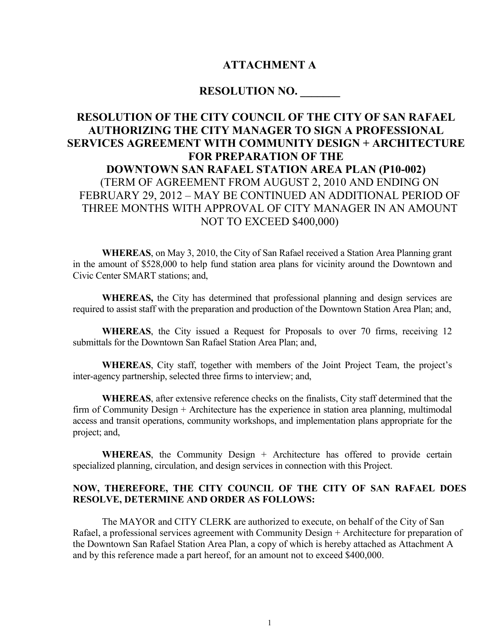# ATTACHMENT A

# RESOLUTION NO. \_\_\_\_\_\_\_

# RESOLUTION OF THE CITY COUNCIL OF THE CITY OF SAN RAFAEL AUTHORIZING THE CITY MANAGER TO SIGN A PROFESSIONAL SERVICES AGREEMENT WITH COMMUNITY DESIGN + ARCHITECTURE FOR PREPARATION OF THE DOWNTOWN SAN RAFAEL STATION AREA PLAN (P10-002) (TERM OF AGREEMENT FROM AUGUST 2, 2010 AND ENDING ON FEBRUARY 29, 2012 – MAY BE CONTINUED AN ADDITIONAL PERIOD OF THREE MONTHS WITH APPROVAL OF CITY MANAGER IN AN AMOUNT NOT TO EXCEED \$400,000)

 WHEREAS, on May 3, 2010, the City of San Rafael received a Station Area Planning grant in the amount of \$528,000 to help fund station area plans for vicinity around the Downtown and Civic Center SMART stations; and,

WHEREAS, the City has determined that professional planning and design services are required to assist staff with the preparation and production of the Downtown Station Area Plan; and,

 WHEREAS, the City issued a Request for Proposals to over 70 firms, receiving 12 submittals for the Downtown San Rafael Station Area Plan; and,

WHEREAS, City staff, together with members of the Joint Project Team, the project's inter-agency partnership, selected three firms to interview; and,

WHEREAS, after extensive reference checks on the finalists, City staff determined that the firm of Community Design + Architecture has the experience in station area planning, multimodal access and transit operations, community workshops, and implementation plans appropriate for the project; and,

WHEREAS, the Community Design + Architecture has offered to provide certain specialized planning, circulation, and design services in connection with this Project.

## NOW, THEREFORE, THE CITY COUNCIL OF THE CITY OF SAN RAFAEL DOES RESOLVE, DETERMINE AND ORDER AS FOLLOWS:

The MAYOR and CITY CLERK are authorized to execute, on behalf of the City of San Rafael, a professional services agreement with Community Design + Architecture for preparation of the Downtown San Rafael Station Area Plan, a copy of which is hereby attached as Attachment A and by this reference made a part hereof, for an amount not to exceed \$400,000.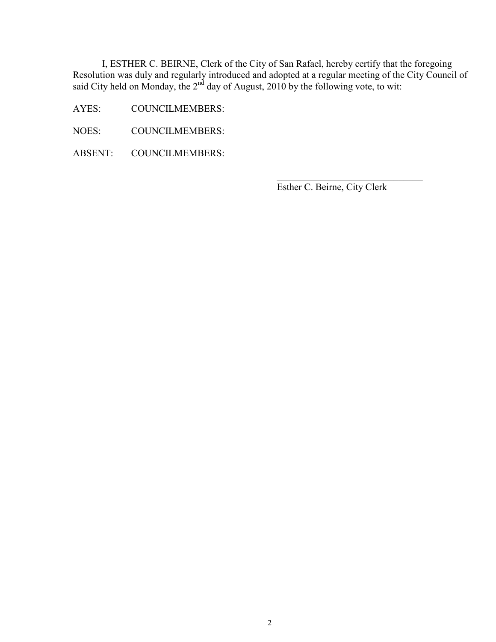I, ESTHER C. BEIRNE, Clerk of the City of San Rafael, hereby certify that the foregoing Resolution was duly and regularly introduced and adopted at a regular meeting of the City Council of said City held on Monday, the  $2<sup>nd</sup>$  day of August, 2010 by the following vote, to wit:

 $\frac{1}{\sqrt{2}}$  ,  $\frac{1}{\sqrt{2}}$  ,  $\frac{1}{\sqrt{2}}$  ,  $\frac{1}{\sqrt{2}}$  ,  $\frac{1}{\sqrt{2}}$  ,  $\frac{1}{\sqrt{2}}$  ,  $\frac{1}{\sqrt{2}}$  ,  $\frac{1}{\sqrt{2}}$  ,  $\frac{1}{\sqrt{2}}$  ,  $\frac{1}{\sqrt{2}}$  ,  $\frac{1}{\sqrt{2}}$  ,  $\frac{1}{\sqrt{2}}$  ,  $\frac{1}{\sqrt{2}}$  ,  $\frac{1}{\sqrt{2}}$  ,  $\frac{1}{\sqrt{2}}$ 

- AYES: COUNCILMEMBERS:
- NOES: COUNCILMEMBERS:
- ABSENT: COUNCILMEMBERS:

Esther C. Beirne, City Clerk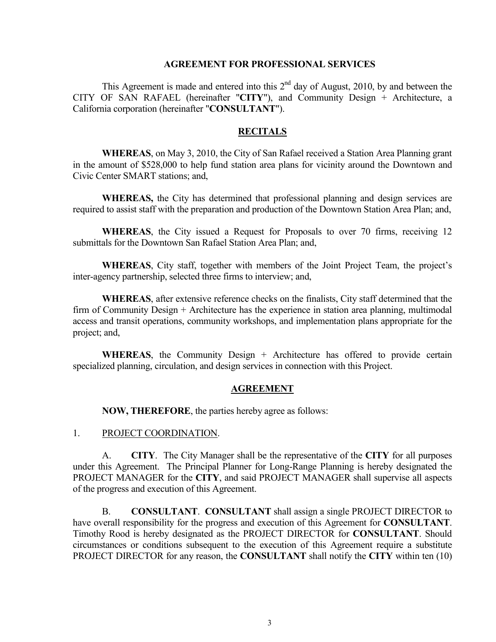#### AGREEMENT FOR PROFESSIONAL SERVICES

This Agreement is made and entered into this  $2<sup>nd</sup>$  day of August, 2010, by and between the CITY OF SAN RAFAEL (hereinafter "CITY"), and Community Design + Architecture, a California corporation (hereinafter "CONSULTANT").

#### **RECITALS**

 WHEREAS, on May 3, 2010, the City of San Rafael received a Station Area Planning grant in the amount of \$528,000 to help fund station area plans for vicinity around the Downtown and Civic Center SMART stations; and,

WHEREAS, the City has determined that professional planning and design services are required to assist staff with the preparation and production of the Downtown Station Area Plan; and,

 WHEREAS, the City issued a Request for Proposals to over 70 firms, receiving 12 submittals for the Downtown San Rafael Station Area Plan; and,

WHEREAS, City staff, together with members of the Joint Project Team, the project's inter-agency partnership, selected three firms to interview; and,

WHEREAS, after extensive reference checks on the finalists, City staff determined that the firm of Community Design + Architecture has the experience in station area planning, multimodal access and transit operations, community workshops, and implementation plans appropriate for the project; and,

WHEREAS, the Community Design + Architecture has offered to provide certain specialized planning, circulation, and design services in connection with this Project.

#### AGREEMENT

NOW, THEREFORE, the parties hereby agree as follows:

1. PROJECT COORDINATION.

 A. CITY. The City Manager shall be the representative of the CITY for all purposes under this Agreement. The Principal Planner for Long-Range Planning is hereby designated the PROJECT MANAGER for the CITY, and said PROJECT MANAGER shall supervise all aspects of the progress and execution of this Agreement.

 B. CONSULTANT. CONSULTANT shall assign a single PROJECT DIRECTOR to have overall responsibility for the progress and execution of this Agreement for **CONSULTANT**. Timothy Rood is hereby designated as the PROJECT DIRECTOR for CONSULTANT. Should circumstances or conditions subsequent to the execution of this Agreement require a substitute PROJECT DIRECTOR for any reason, the **CONSULTANT** shall notify the **CITY** within ten (10)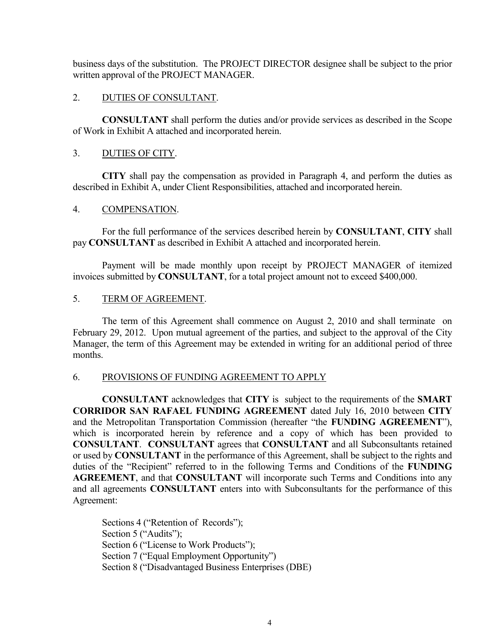business days of the substitution. The PROJECT DIRECTOR designee shall be subject to the prior written approval of the PROJECT MANAGER.

### 2. DUTIES OF CONSULTANT.

 CONSULTANT shall perform the duties and/or provide services as described in the Scope of Work in Exhibit A attached and incorporated herein.

# 3. DUTIES OF CITY.

 CITY shall pay the compensation as provided in Paragraph 4, and perform the duties as described in Exhibit A, under Client Responsibilities, attached and incorporated herein.

#### 4. COMPENSATION.

 For the full performance of the services described herein by CONSULTANT, CITY shall pay CONSULTANT as described in Exhibit A attached and incorporated herein.

 Payment will be made monthly upon receipt by PROJECT MANAGER of itemized invoices submitted by CONSULTANT, for a total project amount not to exceed \$400,000.

## 5. TERM OF AGREEMENT.

 The term of this Agreement shall commence on August 2, 2010 and shall terminate on February 29, 2012. Upon mutual agreement of the parties, and subject to the approval of the City Manager, the term of this Agreement may be extended in writing for an additional period of three months.

#### 6. PROVISIONS OF FUNDING AGREEMENT TO APPLY

CONSULTANT acknowledges that CITY is subject to the requirements of the SMART CORRIDOR SAN RAFAEL FUNDING AGREEMENT dated July 16, 2010 between CITY and the Metropolitan Transportation Commission (hereafter "the FUNDING AGREEMENT"), which is incorporated herein by reference and a copy of which has been provided to CONSULTANT. CONSULTANT agrees that CONSULTANT and all Subconsultants retained or used by CONSULTANT in the performance of this Agreement, shall be subject to the rights and duties of the "Recipient" referred to in the following Terms and Conditions of the FUNDING AGREEMENT, and that CONSULTANT will incorporate such Terms and Conditions into any and all agreements CONSULTANT enters into with Subconsultants for the performance of this Agreement:

 Sections 4 ("Retention of Records"); Section 5 ("Audits"); Section 6 ("License to Work Products"); Section 7 ("Equal Employment Opportunity") Section 8 ("Disadvantaged Business Enterprises (DBE)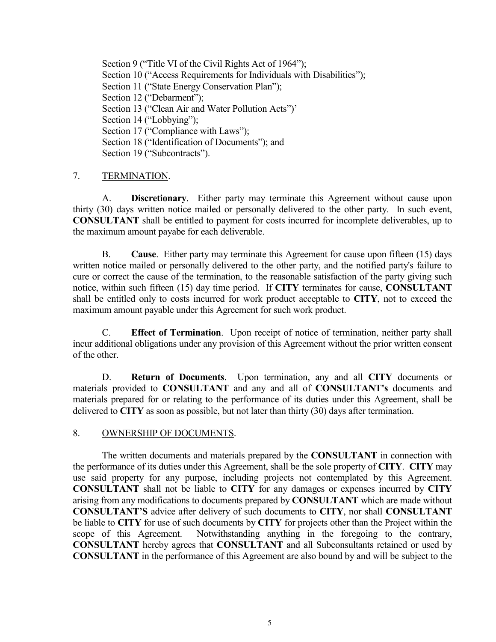Section 9 ("Title VI of the Civil Rights Act of 1964"); Section 10 ("Access Requirements for Individuals with Disabilities"); Section 11 ("State Energy Conservation Plan"); Section 12 ("Debarment"); Section 13 ("Clean Air and Water Pollution Acts")' Section 14 ("Lobbying"); Section 17 ("Compliance with Laws"); Section 18 ("Identification of Documents"); and Section 19 ("Subcontracts").

## 7. TERMINATION.

 A. Discretionary. Either party may terminate this Agreement without cause upon thirty (30) days written notice mailed or personally delivered to the other party. In such event, CONSULTANT shall be entitled to payment for costs incurred for incomplete deliverables, up to the maximum amount payabe for each deliverable.

 B. Cause. Either party may terminate this Agreement for cause upon fifteen (15) days written notice mailed or personally delivered to the other party, and the notified party's failure to cure or correct the cause of the termination, to the reasonable satisfaction of the party giving such notice, within such fifteen (15) day time period. If CITY terminates for cause, CONSULTANT shall be entitled only to costs incurred for work product acceptable to CITY, not to exceed the maximum amount payable under this Agreement for such work product.

 C. Effect of Termination. Upon receipt of notice of termination, neither party shall incur additional obligations under any provision of this Agreement without the prior written consent of the other.

 D. Return of Documents. Upon termination, any and all CITY documents or materials provided to CONSULTANT and any and all of CONSULTANT's documents and materials prepared for or relating to the performance of its duties under this Agreement, shall be delivered to CITY as soon as possible, but not later than thirty (30) days after termination.

#### 8. OWNERSHIP OF DOCUMENTS.

 The written documents and materials prepared by the CONSULTANT in connection with the performance of its duties under this Agreement, shall be the sole property of CITY. CITY may use said property for any purpose, including projects not contemplated by this Agreement. CONSULTANT shall not be liable to CITY for any damages or expenses incurred by CITY arising from any modifications to documents prepared by CONSULTANT which are made without CONSULTANT'S advice after delivery of such documents to CITY, nor shall CONSULTANT be liable to CITY for use of such documents by CITY for projects other than the Project within the scope of this Agreement. Notwithstanding anything in the foregoing to the contrary, CONSULTANT hereby agrees that CONSULTANT and all Subconsultants retained or used by CONSULTANT in the performance of this Agreement are also bound by and will be subject to the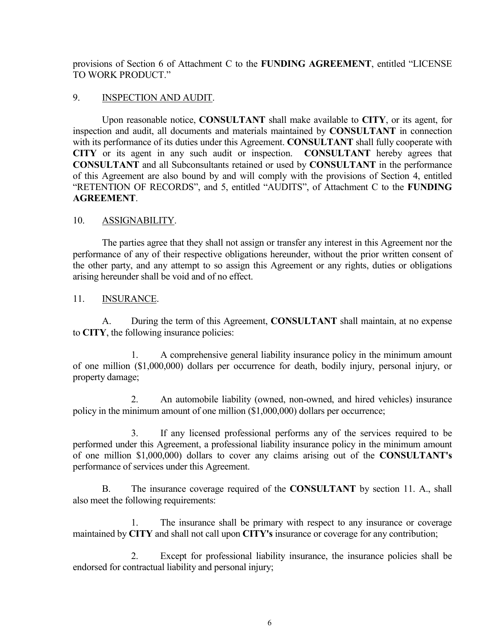provisions of Section 6 of Attachment C to the FUNDING AGREEMENT, entitled "LICENSE TO WORK PRODUCT."

### 9. INSPECTION AND AUDIT.

 Upon reasonable notice, CONSULTANT shall make available to CITY, or its agent, for inspection and audit, all documents and materials maintained by CONSULTANT in connection with its performance of its duties under this Agreement. CONSULTANT shall fully cooperate with CITY or its agent in any such audit or inspection. CONSULTANT hereby agrees that CONSULTANT and all Subconsultants retained or used by CONSULTANT in the performance of this Agreement are also bound by and will comply with the provisions of Section 4, entitled "RETENTION OF RECORDS", and 5, entitled "AUDITS", of Attachment C to the FUNDING **AGREEMENT** 

# 10. ASSIGNABILITY.

 The parties agree that they shall not assign or transfer any interest in this Agreement nor the performance of any of their respective obligations hereunder, without the prior written consent of the other party, and any attempt to so assign this Agreement or any rights, duties or obligations arising hereunder shall be void and of no effect.

# 11. INSURANCE.

A. During the term of this Agreement, CONSULTANT shall maintain, at no expense to CITY, the following insurance policies:

 1. A comprehensive general liability insurance policy in the minimum amount of one million (\$1,000,000) dollars per occurrence for death, bodily injury, personal injury, or property damage;

 2. An automobile liability (owned, non-owned, and hired vehicles) insurance policy in the minimum amount of one million (\$1,000,000) dollars per occurrence;

 3. If any licensed professional performs any of the services required to be performed under this Agreement, a professional liability insurance policy in the minimum amount of one million \$1,000,000) dollars to cover any claims arising out of the CONSULTANT's performance of services under this Agreement.

B. The insurance coverage required of the **CONSULTANT** by section 11. A., shall also meet the following requirements:

 1. The insurance shall be primary with respect to any insurance or coverage maintained by CITY and shall not call upon CITY's insurance or coverage for any contribution;

 2. Except for professional liability insurance, the insurance policies shall be endorsed for contractual liability and personal injury;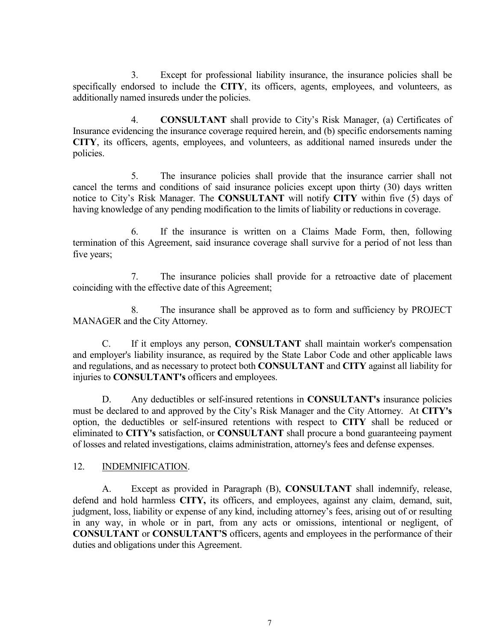3. Except for professional liability insurance, the insurance policies shall be specifically endorsed to include the CITY, its officers, agents, employees, and volunteers, as additionally named insureds under the policies.

 4. CONSULTANT shall provide to City's Risk Manager, (a) Certificates of Insurance evidencing the insurance coverage required herein, and (b) specific endorsements naming CITY, its officers, agents, employees, and volunteers, as additional named insureds under the policies.

 5. The insurance policies shall provide that the insurance carrier shall not cancel the terms and conditions of said insurance policies except upon thirty (30) days written notice to City's Risk Manager. The **CONSULTANT** will notify **CITY** within five (5) days of having knowledge of any pending modification to the limits of liability or reductions in coverage.

 6. If the insurance is written on a Claims Made Form, then, following termination of this Agreement, said insurance coverage shall survive for a period of not less than five years;

 7. The insurance policies shall provide for a retroactive date of placement coinciding with the effective date of this Agreement;

 8. The insurance shall be approved as to form and sufficiency by PROJECT MANAGER and the City Attorney.

 C. If it employs any person, CONSULTANT shall maintain worker's compensation and employer's liability insurance, as required by the State Labor Code and other applicable laws and regulations, and as necessary to protect both CONSULTANT and CITY against all liability for injuries to CONSULTANT's officers and employees.

 D. Any deductibles or self-insured retentions in CONSULTANT's insurance policies must be declared to and approved by the City's Risk Manager and the City Attorney. At CITY's option, the deductibles or self-insured retentions with respect to CITY shall be reduced or eliminated to CITY's satisfaction, or CONSULTANT shall procure a bond guaranteeing payment of losses and related investigations, claims administration, attorney's fees and defense expenses.

# 12. INDEMNIFICATION.

A. Except as provided in Paragraph (B), CONSULTANT shall indemnify, release, defend and hold harmless CITY, its officers, and employees, against any claim, demand, suit, judgment, loss, liability or expense of any kind, including attorney's fees, arising out of or resulting in any way, in whole or in part, from any acts or omissions, intentional or negligent, of CONSULTANT or CONSULTANT'S officers, agents and employees in the performance of their duties and obligations under this Agreement.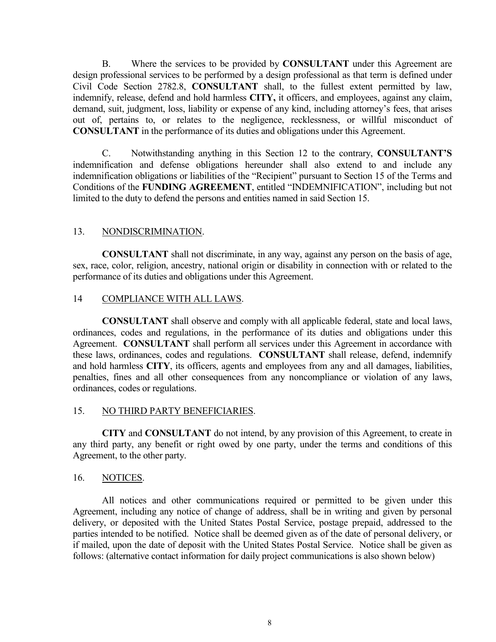B. Where the services to be provided by **CONSULTANT** under this Agreement are design professional services to be performed by a design professional as that term is defined under Civil Code Section 2782.8, CONSULTANT shall, to the fullest extent permitted by law, indemnify, release, defend and hold harmless CITY, it officers, and employees, against any claim, demand, suit, judgment, loss, liability or expense of any kind, including attorney's fees, that arises out of, pertains to, or relates to the negligence, recklessness, or willful misconduct of CONSULTANT in the performance of its duties and obligations under this Agreement.

C. Notwithstanding anything in this Section 12 to the contrary, CONSULTANT'S indemnification and defense obligations hereunder shall also extend to and include any indemnification obligations or liabilities of the "Recipient" pursuant to Section 15 of the Terms and Conditions of the FUNDING AGREEMENT, entitled "INDEMNIFICATION", including but not limited to the duty to defend the persons and entities named in said Section 15.

#### 13. NONDISCRIMINATION.

 CONSULTANT shall not discriminate, in any way, against any person on the basis of age, sex, race, color, religion, ancestry, national origin or disability in connection with or related to the performance of its duties and obligations under this Agreement.

## 14 COMPLIANCE WITH ALL LAWS.

 CONSULTANT shall observe and comply with all applicable federal, state and local laws, ordinances, codes and regulations, in the performance of its duties and obligations under this Agreement. CONSULTANT shall perform all services under this Agreement in accordance with these laws, ordinances, codes and regulations. CONSULTANT shall release, defend, indemnify and hold harmless CITY, its officers, agents and employees from any and all damages, liabilities, penalties, fines and all other consequences from any noncompliance or violation of any laws, ordinances, codes or regulations.

#### 15. NO THIRD PARTY BENEFICIARIES.

 CITY and CONSULTANT do not intend, by any provision of this Agreement, to create in any third party, any benefit or right owed by one party, under the terms and conditions of this Agreement, to the other party.

#### 16. NOTICES.

 All notices and other communications required or permitted to be given under this Agreement, including any notice of change of address, shall be in writing and given by personal delivery, or deposited with the United States Postal Service, postage prepaid, addressed to the parties intended to be notified. Notice shall be deemed given as of the date of personal delivery, or if mailed, upon the date of deposit with the United States Postal Service. Notice shall be given as follows: (alternative contact information for daily project communications is also shown below)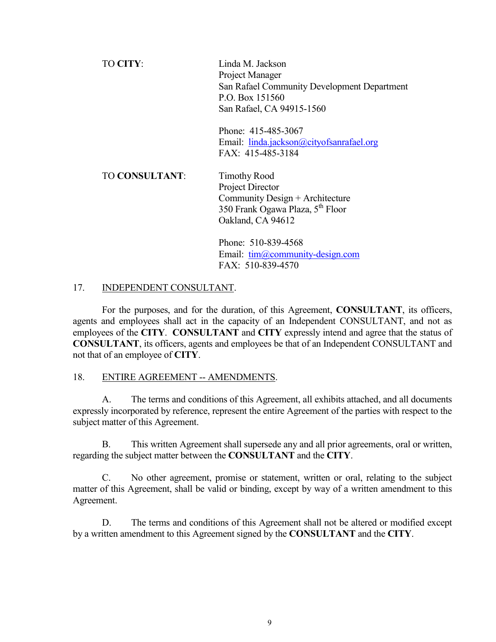| TO CITY:              | Linda M. Jackson<br>Project Manager<br>San Rafael Community Development Department<br>P.O. Box 151560<br>San Rafael, CA 94915-1560              |
|-----------------------|-------------------------------------------------------------------------------------------------------------------------------------------------|
|                       | Phone: 415-485-3067<br>Email: linda.jackson@cityofsanrafael.org<br>FAX: 415-485-3184                                                            |
| <b>TO CONSULTANT:</b> | <b>Timothy Rood</b><br>Project Director<br>Community Design + Architecture<br>350 Frank Ogawa Plaza, 5 <sup>th</sup> Floor<br>Oakland, CA 94612 |
|                       | Phone: 510-839-4568<br>Email: $tim@community-design.com$<br>FAX: 510-839-4570                                                                   |

# 17. INDEPENDENT CONSULTANT.

 For the purposes, and for the duration, of this Agreement, CONSULTANT, its officers, agents and employees shall act in the capacity of an Independent CONSULTANT, and not as employees of the CITY. CONSULTANT and CITY expressly intend and agree that the status of CONSULTANT, its officers, agents and employees be that of an Independent CONSULTANT and not that of an employee of CITY.

#### 18. ENTIRE AGREEMENT -- AMENDMENTS.

 A. The terms and conditions of this Agreement, all exhibits attached, and all documents expressly incorporated by reference, represent the entire Agreement of the parties with respect to the subject matter of this Agreement.

 B. This written Agreement shall supersede any and all prior agreements, oral or written, regarding the subject matter between the CONSULTANT and the CITY.

 C. No other agreement, promise or statement, written or oral, relating to the subject matter of this Agreement, shall be valid or binding, except by way of a written amendment to this Agreement.

 D. The terms and conditions of this Agreement shall not be altered or modified except by a written amendment to this Agreement signed by the CONSULTANT and the CITY.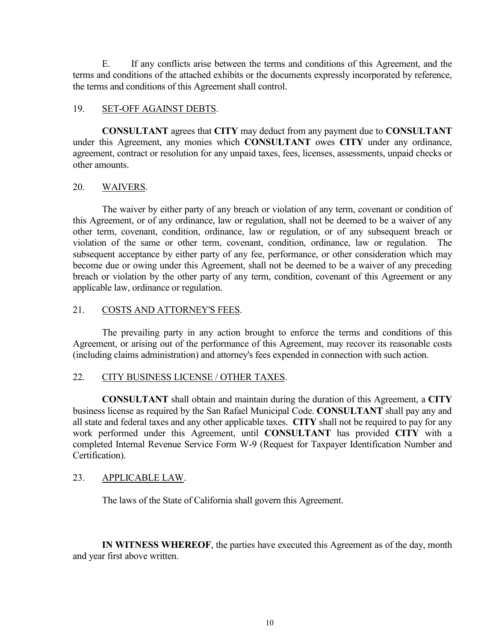E. If any conflicts arise between the terms and conditions of this Agreement, and the terms and conditions of the attached exhibits or the documents expressly incorporated by reference, the terms and conditions of this Agreement shall control.

# 19. SET-OFF AGAINST DEBTS.

 CONSULTANT agrees that CITY may deduct from any payment due to CONSULTANT under this Agreement, any monies which CONSULTANT owes CITY under any ordinance, agreement, contract or resolution for any unpaid taxes, fees, licenses, assessments, unpaid checks or other amounts.

## 20. WAIVERS.

 The waiver by either party of any breach or violation of any term, covenant or condition of this Agreement, or of any ordinance, law or regulation, shall not be deemed to be a waiver of any other term, covenant, condition, ordinance, law or regulation, or of any subsequent breach or violation of the same or other term, covenant, condition, ordinance, law or regulation. The subsequent acceptance by either party of any fee, performance, or other consideration which may become due or owing under this Agreement, shall not be deemed to be a waiver of any preceding breach or violation by the other party of any term, condition, covenant of this Agreement or any applicable law, ordinance or regulation.

# 21. COSTS AND ATTORNEY'S FEES.

 The prevailing party in any action brought to enforce the terms and conditions of this Agreement, or arising out of the performance of this Agreement, may recover its reasonable costs (including claims administration) and attorney's fees expended in connection with such action.

# 22. CITY BUSINESS LICENSE / OTHER TAXES.

 CONSULTANT shall obtain and maintain during the duration of this Agreement, a CITY business license as required by the San Rafael Municipal Code. CONSULTANT shall pay any and all state and federal taxes and any other applicable taxes. CITY shall not be required to pay for any work performed under this Agreement, until CONSULTANT has provided CITY with a completed Internal Revenue Service Form W-9 (Request for Taxpayer Identification Number and Certification).

#### 23. APPLICABLE LAW.

The laws of the State of California shall govern this Agreement.

 IN WITNESS WHEREOF, the parties have executed this Agreement as of the day, month and year first above written.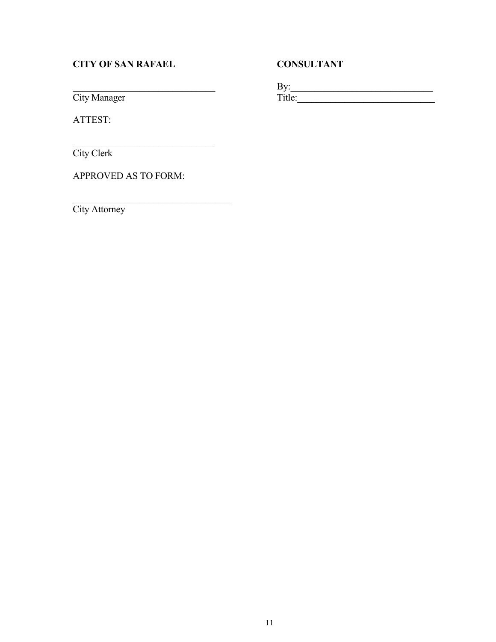# CITY OF SAN RAFAEL CONSULTANT

 $\qquad \qquad \text{By:}$ City Manager Title: Title:

ATTEST:

City Clerk

APPROVED AS TO FORM:

\_\_\_\_\_\_\_\_\_\_\_\_\_\_\_\_\_\_\_\_\_\_\_\_\_\_\_\_\_\_

\_\_\_\_\_\_\_\_\_\_\_\_\_\_\_\_\_\_\_\_\_\_\_\_\_\_\_\_\_\_\_\_\_ City Attorney